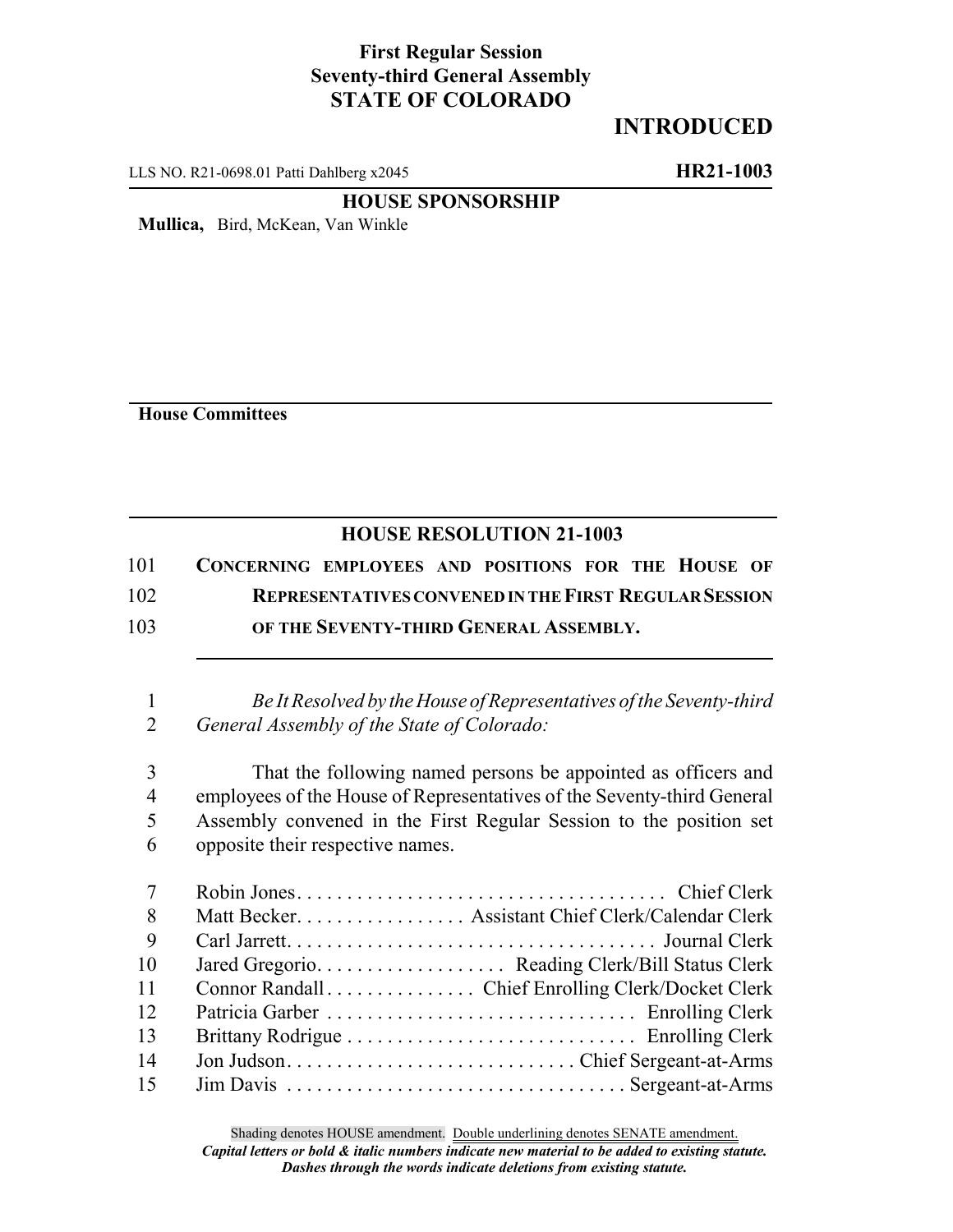## **First Regular Session Seventy-third General Assembly STATE OF COLORADO**

## **INTRODUCED**

LLS NO. R21-0698.01 Patti Dahlberg x2045 **HR21-1003**

## **HOUSE SPONSORSHIP**

**Mullica,** Bird, McKean, Van Winkle

**House Committees**

## **HOUSE RESOLUTION 21-1003**

| 101 | CONCERNING EMPLOYEES AND POSITIONS FOR THE HOUSE OF          |
|-----|--------------------------------------------------------------|
| 102 | <b>REPRESENTATIVES CONVENED IN THE FIRST REGULAR SESSION</b> |
| 103 | OF THE SEVENTY-THIRD GENERAL ASSEMBLY.                       |

1 *Be It Resolved by the House of Representatives of the Seventy-third* 2 *General Assembly of the State of Colorado:*

 That the following named persons be appointed as officers and employees of the House of Representatives of the Seventy-third General Assembly convened in the First Regular Session to the position set opposite their respective names.

| $7\overline{ }$ |                                                   |
|-----------------|---------------------------------------------------|
| 8               | Matt Becker. Assistant Chief Clerk/Calendar Clerk |
| 9               |                                                   |
| 10              |                                                   |
| 11              | Connor Randall Chief Enrolling Clerk/Docket Clerk |
| 12              |                                                   |
| 13              |                                                   |
| 14              |                                                   |
| 15              |                                                   |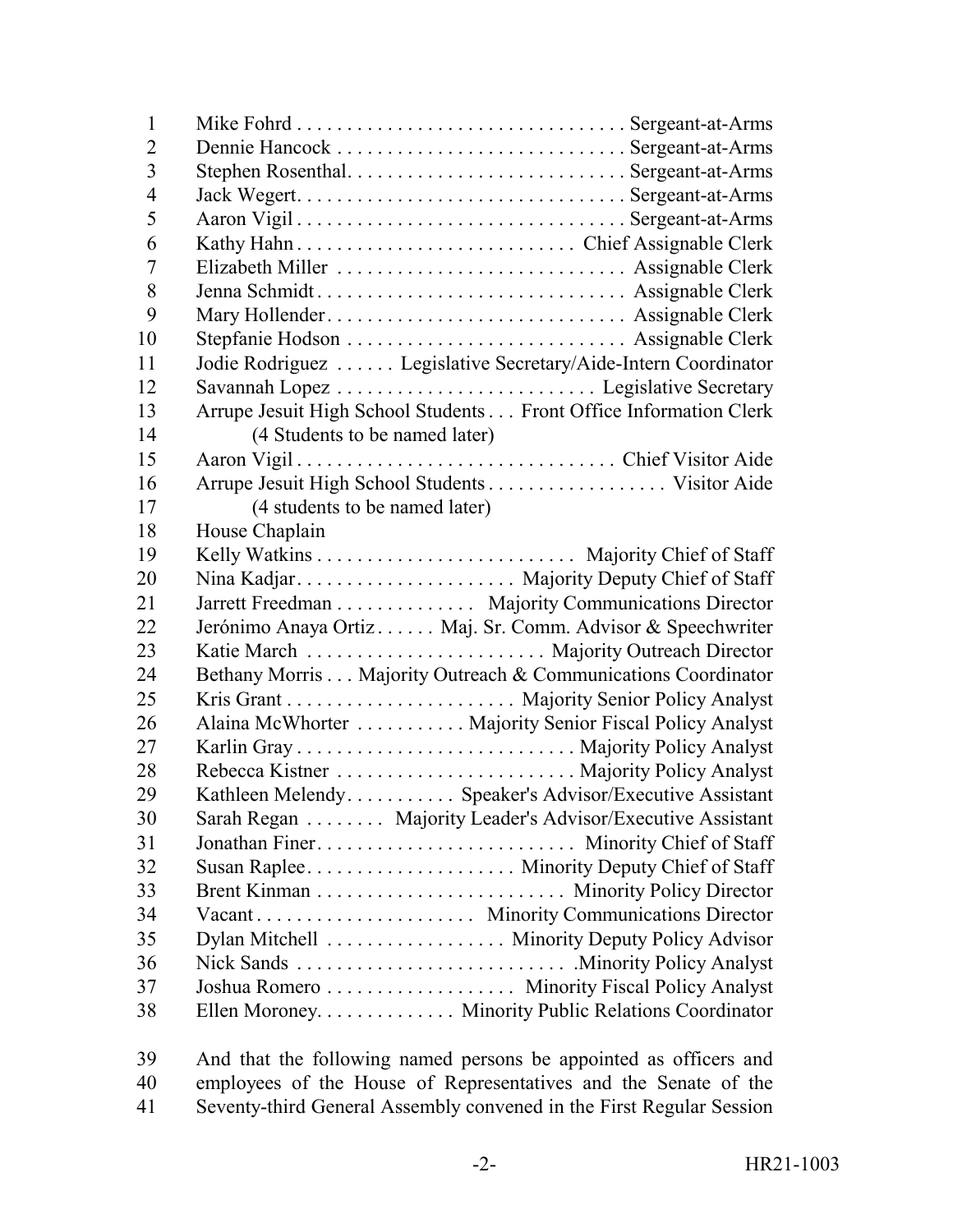| $\mathbf{1}$   |                                                                   |
|----------------|-------------------------------------------------------------------|
| $\overline{2}$ |                                                                   |
| 3              |                                                                   |
| $\overline{4}$ |                                                                   |
| 5              |                                                                   |
| 6              |                                                                   |
| 7              |                                                                   |
| 8              |                                                                   |
| 9              |                                                                   |
| 10             |                                                                   |
| 11             | Jodie Rodriguez  Legislative Secretary/Aide-Intern Coordinator    |
| 12             |                                                                   |
| 13             | Arrupe Jesuit High School Students Front Office Information Clerk |
| 14             | (4 Students to be named later)                                    |
| 15             |                                                                   |
| 16             |                                                                   |
| 17             | (4 students to be named later)                                    |
| 18             | House Chaplain                                                    |
| 19             |                                                                   |
| 20             |                                                                   |
| 21             | Jarrett Freedman Majority Communications Director                 |
| 22             | Jerónimo Anaya Ortiz Maj. Sr. Comm. Advisor & Speechwriter        |
| 23             |                                                                   |
| 24             | Bethany Morris Majority Outreach & Communications Coordinator     |
| 25             |                                                                   |
| 26             | Alaina McWhorter Majority Senior Fiscal Policy Analyst            |
| 27             |                                                                   |
| 28             |                                                                   |
| 29             | Kathleen Melendy Speaker's Advisor/Executive Assistant            |
| 30             | Sarah Regan Majority Leader's Advisor/Executive Assistant         |
| 31             | Jonathan Finer Minority Chief of Staff                            |
| 32             |                                                                   |
| 33             |                                                                   |
| 34             |                                                                   |
| 35             | Dylan Mitchell Minority Deputy Policy Advisor                     |
| 36             |                                                                   |
| 37             | Joshua Romero Minority Fiscal Policy Analyst                      |
| 38             | Ellen Moroney. Minority Public Relations Coordinator              |
| 39             | And that the following named persons be appointed as officers and |

 employees of the House of Representatives and the Senate of the Seventy-third General Assembly convened in the First Regular Session